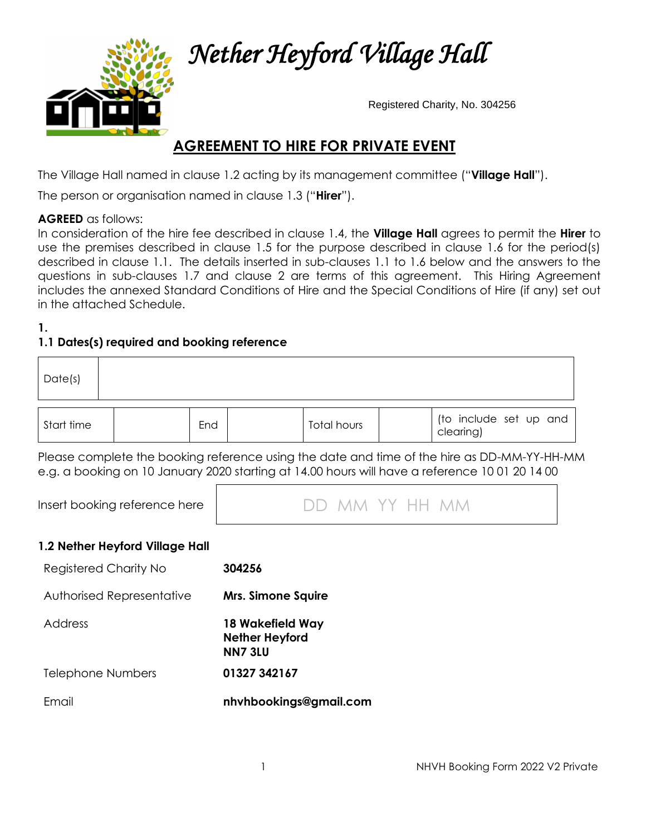

 *Nether Heyford Village Hall* 

Registered Charity, No. 304256

# **AGREEMENT TO HIRE FOR PRIVATE EVENT**

The Village Hall named in clause 1.2 acting by its management committee ("**Village Hall**").

The person or organisation named in clause 1.3 ("**Hirer**").

#### **AGREED** as follows:

In consideration of the hire fee described in clause 1.4, the **Village Hall** agrees to permit the **Hirer** to use the premises described in clause 1.5 for the purpose described in clause 1.6 for the period(s) described in clause 1.1. The details inserted in sub-clauses 1.1 to 1.6 below and the answers to the questions in sub-clauses 1.7 and clause 2 are terms of this agreement. This Hiring Agreement includes the annexed Standard Conditions of Hire and the Special Conditions of Hire (if any) set out in the attached Schedule.

#### **1.**

# **1.1 Dates(s) required and booking reference**

| Date(s)    |     |             |                                     |
|------------|-----|-------------|-------------------------------------|
| Start time | End | Total hours | (to include set up and<br>clearing) |

Please complete the booking reference using the date and time of the hire as DD-MM-YY-HH-MM e.g. a booking on 10 January 2020 starting at 14.00 hours will have a reference 10 01 20 14 00

| DD MM YY HH MM |
|----------------|
|                |

#### **1.2 Nether Heyford Village Hall**

| Registered Charity No     | 304256                                                      |
|---------------------------|-------------------------------------------------------------|
| Authorised Representative | <b>Mrs. Simone Squire</b>                                   |
| Address                   | 18 Wakefield Way<br><b>Nether Heyford</b><br><b>NN7 3LU</b> |
| Telephone Numbers         | 01327 342167                                                |
| Fmail                     | nhyhbookings@gmail.com                                      |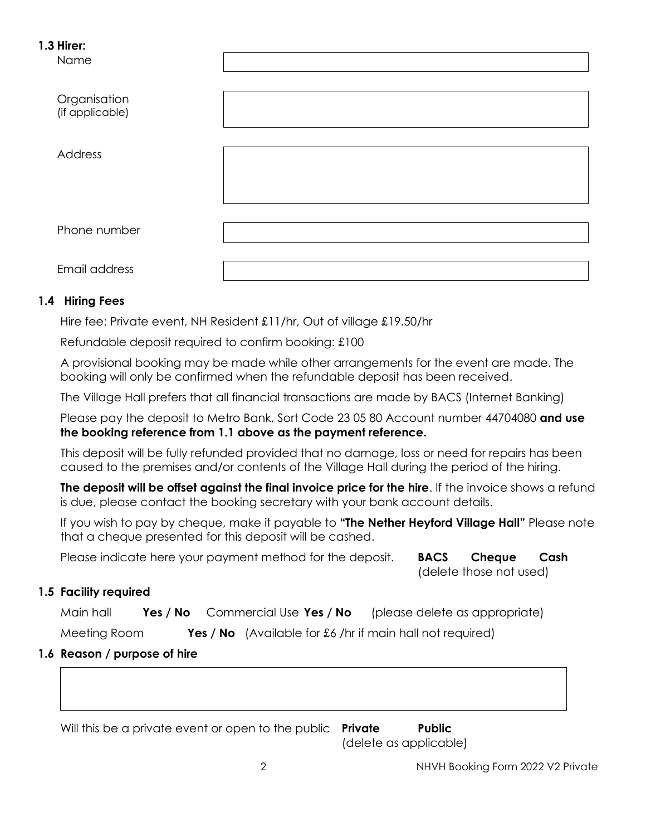#### **1.3 Hirer:**

Name

| Organisation<br>(if applicable) |  |
|---------------------------------|--|
| Address                         |  |
|                                 |  |
| Phone number<br>Email address   |  |

## **1.4 Hiring Fees**

Hire fee: Private event, NH Resident £11/hr, Out of village £19.50/hr

Refundable deposit required to confirm booking: £100

A provisional booking may be made while other arrangements for the event are made. The booking will only be confirmed when the refundable deposit has been received.

The Village Hall prefers that all financial transactions are made by BACS (Internet Banking)

Please pay the deposit to Metro Bank, Sort Code 23 05 80 Account number 44704080 **and use the booking reference from 1.1 above as the payment reference.**

This deposit will be fully refunded provided that no damage, loss or need for repairs has been caused to the premises and/or contents of the Village Hall during the period of the hiring.

**The deposit will be offset against the final invoice price for the hire**. If the invoice shows a refund is due, please contact the booking secretary with your bank account details.

If you wish to pay by cheque, make it payable to **"The Nether Heyford Village Hall"** Please note that a cheque presented for this deposit will be cashed.

Please indicate here your payment method for the deposit. **BACS Cheque Cash** 

(delete those not used)

# **1.5 Facility required**

Main hall **Yes / No** Commercial Use **Yes / No** (please delete as appropriate)

Meeting Room **Yes / No** (Available for £6 /hr if main hall not required)

# **1.6 Reason / purpose of hire**

Will this be a private event or open to the public **Private Public**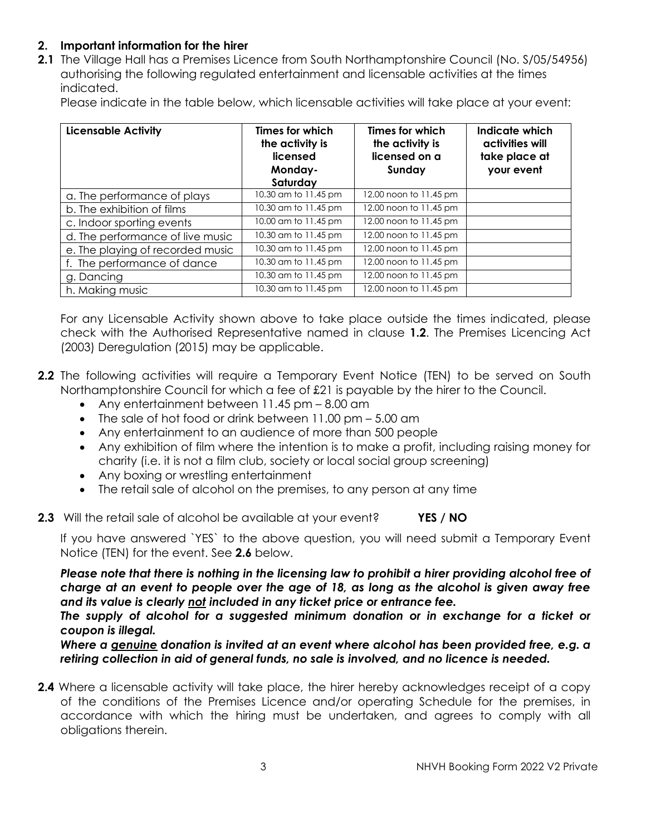## **2. Important information for the hirer**

**2.1** The Village Hall has a Premises Licence from South Northamptonshire Council (No. S/05/54956) authorising the following regulated entertainment and licensable activities at the times indicated.

Please indicate in the table below, which licensable activities will take place at your event:

| <b>Licensable Activity</b>       | Times for which<br>the activity is<br>licensed<br>Monday-<br>Saturday | Times for which<br>the activity is<br>licensed on a<br>Sunday | Indicate which<br>activities will<br>take place at<br>your event |
|----------------------------------|-----------------------------------------------------------------------|---------------------------------------------------------------|------------------------------------------------------------------|
| a. The performance of plays      | 10.30 am to 11.45 pm                                                  | 12.00 noon to 11.45 pm                                        |                                                                  |
| b. The exhibition of films       | 10.30 am to 11.45 pm                                                  | 12.00 noon to 11.45 pm                                        |                                                                  |
| c. Indoor sporting events        | 10.00 am to 11.45 pm                                                  | 12.00 noon to 11.45 pm                                        |                                                                  |
| d. The performance of live music | 10.30 am to 11.45 pm                                                  | 12.00 noon to 11.45 pm                                        |                                                                  |
| e. The playing of recorded music | 10.30 am to 11.45 pm                                                  | 12.00 noon to 11.45 pm                                        |                                                                  |
| f. The performance of dance      | 10.30 am to 11.45 pm                                                  | 12.00 noon to 11.45 pm                                        |                                                                  |
| g. Dancing                       | 10.30 am to 11.45 pm                                                  | 12.00 noon to 11.45 pm                                        |                                                                  |
| h. Making music                  | 10.30 am to 11.45 pm                                                  | 12.00 noon to 11.45 pm                                        |                                                                  |

For any Licensable Activity shown above to take place outside the times indicated, please check with the Authorised Representative named in clause **1.2**. The Premises Licencing Act (2003) Deregulation (2015) may be applicable.

- **2.2** The following activities will require a Temporary Event Notice (TEN) to be served on South Northamptonshire Council for which a fee of £21 is payable by the hirer to the Council.
	- Any entertainment between 11.45 pm 8.00 am
	- The sale of hot food or drink between 11.00 pm 5.00 am
	- Any entertainment to an audience of more than 500 people
	- Any exhibition of film where the intention is to make a profit, including raising money for charity (i.e. it is not a film club, society or local social group screening)
	- Any boxing or wrestling entertainment
	- The retail sale of alcohol on the premises, to any person at any time
- **2.3** Will the retail sale of alcohol be available at your event? **YES / NO**

If you have answered `YES` to the above question, you will need submit a Temporary Event Notice (TEN) for the event. See **2.6** below.

*Please note that there is nothing in the licensing law to prohibit a hirer providing alcohol free of charge at an event to people over the age of 18, as long as the alcohol is given away free and its value is clearly not included in any ticket price or entrance fee.* 

The supply of alcohol for a suggested minimum donation or in exchange for a ticket or *coupon is illegal.*

*Where a genuine donation is invited at an event where alcohol has been provided free, e.g. a retiring collection in aid of general funds, no sale is involved, and no licence is needed.*

**2.4** Where a licensable activity will take place, the hirer hereby acknowledges receipt of a copy of the conditions of the Premises Licence and/or operating Schedule for the premises, in accordance with which the hiring must be undertaken, and agrees to comply with all obligations therein.